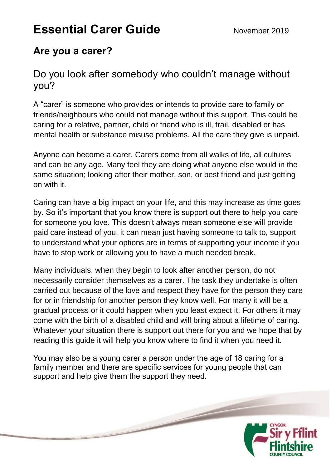# **Essential Carer Guide** November 2019

# **Are you a carer?**

Do you look after somebody who couldn't manage without you?

A "carer" is someone who provides or intends to provide care to family or friends/neighbours who could not manage without this support. This could be caring for a relative, partner, child or friend who is ill, frail, disabled or has mental health or substance misuse problems. All the care they give is unpaid.

Anyone can become a carer. Carers come from all walks of life, all cultures and can be any age. Many feel they are doing what anyone else would in the same situation; looking after their mother, son, or best friend and just getting on with it.

Caring can have a big impact on your life, and this may increase as time goes by. So it's important that you know there is support out there to help you care for someone you love. This doesn't always mean someone else will provide paid care instead of you, it can mean just having someone to talk to, support to understand what your options are in terms of supporting your income if you have to stop work or allowing you to have a much needed break.

Many individuals, when they begin to look after another person, do not necessarily consider themselves as a carer. The task they undertake is often carried out because of the love and respect they have for the person they care for or in friendship for another person they know well. For many it will be a gradual process or it could happen when you least expect it. For others it may come with the birth of a disabled child and will bring about a lifetime of caring. Whatever your situation there is support out there for you and we hope that by reading this guide it will help you know where to find it when you need it.

You may also be a young carer a person under the age of 18 caring for a family member and there are specific services for young people that can support and help give them the support they need.

 $\overline{\phantom{0}}$ 

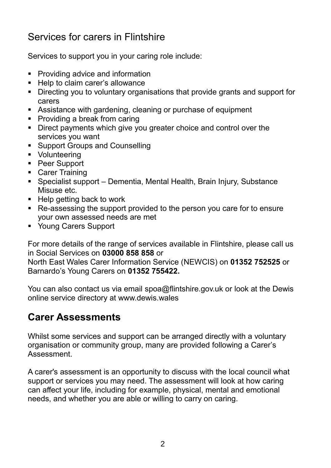# Services for carers in Flintshire

Services to support you in your caring role include:

- **•** Providing advice and information
- Help to claim carer's allowance
- Directing you to voluntary organisations that provide grants and support for carers
- Assistance with gardening, cleaning or purchase of equipment
- Providing a break from caring
- Direct payments which give you greater choice and control over the services you want
- **Support Groups and Counselling**
- Volunteering
- Peer Support
- Carer Training
- Specialist support Dementia, Mental Health, Brain Injury, Substance Misuse etc.
- $\blacksquare$  Help getting back to work
- Re-assessing the support provided to the person you care for to ensure your own assessed needs are met
- Young Carers Support

For more details of the range of services available in Flintshire, please call us in Social Services on **03000 858 858** or

North East Wales Carer Information Service (NEWCIS) on **01352 752525** or Barnardo's Young Carers on **01352 755422.** 

You can also contact us via email spoa@flintshire.gov.uk or look at the Dewis online service directory at www.dewis.wales

### **Carer Assessments**

Whilst some services and support can be arranged directly with a voluntary organisation or community group, many are provided following a Carer's Assessment.

A carer's assessment is an opportunity to discuss with the local council what support or services you may need. The assessment will look at how caring can affect your life, including for example, physical, mental and emotional needs, and whether you are able or willing to carry on caring.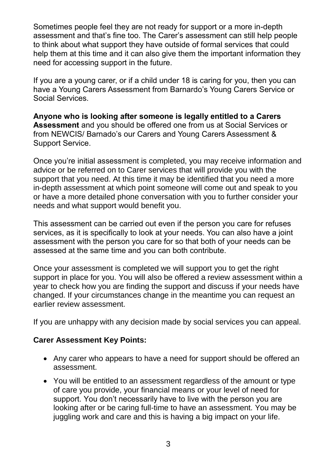Sometimes people feel they are not ready for support or a more in-depth assessment and that's fine too. The Carer's assessment can still help people to think about what support they have outside of formal services that could help them at this time and it can also give them the important information they need for accessing support in the future.

If you are a young carer, or if a child under 18 is caring for you, then you can have a Young Carers Assessment from Barnardo's Young Carers Service or Social Services.

**Anyone who is looking after someone is legally entitled to a Carers Assessment** and you should be offered one from us at Social Services or from NEWCIS/ Barnado's our Carers and Young Carers Assessment & Support Service.

Once you're initial assessment is completed, you may receive information and advice or be referred on to Carer services that will provide you with the support that you need. At this time it may be identified that you need a more in-depth assessment at which point someone will come out and speak to you or have a more detailed phone conversation with you to further consider your needs and what support would benefit you.

This assessment can be carried out even if the person you care for refuses services, as it is specifically to look at your needs. You can also have a joint assessment with the person you care for so that both of your needs can be assessed at the same time and you can both contribute.

Once your assessment is completed we will support you to get the right support in place for you. You will also be offered a review assessment within a year to check how you are finding the support and discuss if your needs have changed. If your circumstances change in the meantime you can request an earlier review assessment.

If you are unhappy with any decision made by social services you can appeal.

#### **Carer Assessment Key Points:**

- Any carer who appears to have a need for support should be offered an assessment.
- You will be entitled to an assessment regardless of the amount or type of care you provide, your financial means or your level of need for support. You don't necessarily have to live with the person you are looking after or be caring full-time to have an assessment. You may be juggling work and care and this is having a big impact on your life.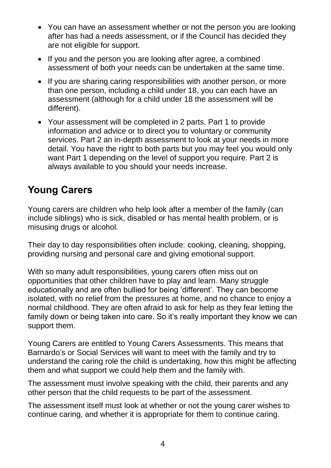- You can have an assessment whether or not the person you are looking after has had a needs assessment, or if the Council has decided they are not eligible for support.
- If you and the person you are looking after agree, a combined assessment of both your needs can be undertaken at the same time.
- If you are sharing caring responsibilities with another person, or more than one person, including a child under 18, you can each have an assessment (although for a child under 18 the assessment will be different).
- Your assessment will be completed in 2 parts. Part 1 to provide information and advice or to direct you to voluntary or community services. Part 2 an in-depth assessment to look at your needs in more detail. You have the right to both parts but you may feel you would only want Part 1 depending on the level of support you require. Part 2 is always available to you should your needs increase.

# **Young Carers**

Young carers are children who help look after a member of the family (can include siblings) who is sick, disabled or has mental health problem, or is misusing drugs or alcohol.

Their day to day responsibilities often include: cooking, cleaning, shopping, providing nursing and personal care and giving emotional support.

With so many adult responsibilities, young carers often miss out on opportunities that other children have to play and learn. Many struggle educationally and are often bullied for being 'different'. They can become isolated, with no relief from the pressures at home, and no chance to enjoy a normal childhood. They are often afraid to ask for help as they fear letting the family down or being taken into care. So it's really important they know we can support them.

Young Carers are entitled to Young Carers Assessments. This means that Barnardo's or Social Services will want to meet with the family and try to understand the caring role the child is undertaking, how this might be affecting them and what support we could help them and the family with.

The assessment must involve speaking with the child, their parents and any other person that the child requests to be part of the assessment.

The assessment itself must look at whether or not the young carer wishes to continue caring, and whether it is appropriate for them to continue caring.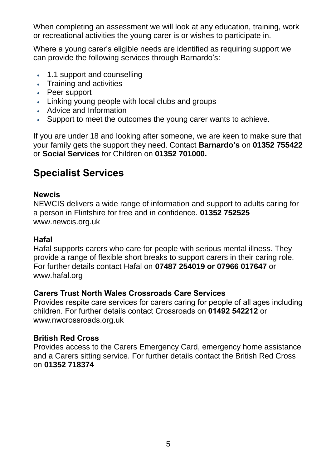When completing an assessment we will look at any education, training, work or recreational activities the young carer is or wishes to participate in.

Where a young carer's eligible needs are identified as requiring support we can provide the following services through Barnardo's:

- 1.1 support and counselling
- Training and activities
- Peer support
- Linking young people with local clubs and groups
- Advice and Information
- Support to meet the outcomes the young carer wants to achieve.

If you are under 18 and looking after someone, we are keen to make sure that your family gets the support they need. Contact **Barnardo's** on **01352 755422** or **Social Services** for Children on **01352 701000.** 

### **Specialist Services**

#### **Newcis**

NEWCIS delivers a wide range of information and support to adults caring for a person in Flintshire for free and in confidence. **01352 752525** www.newcis.org.uk

#### **Hafal**

Hafal supports carers who care for people with serious mental illness. They provide a range of flexible short breaks to support carers in their caring role. For further details contact Hafal on **07487 254019 or 07966 017647** or www.hafal.org

#### **Carers Trust North Wales Crossroads Care Services**

Provides respite care services for carers caring for people of all ages including children. For further details contact Crossroads on **01492 542212** or www.nwcrossroads.org.uk

#### **British Red Cross**

Provides access to the Carers Emergency Card, emergency home assistance and a Carers sitting service. For further details contact the British Red Cross on **01352 718374**